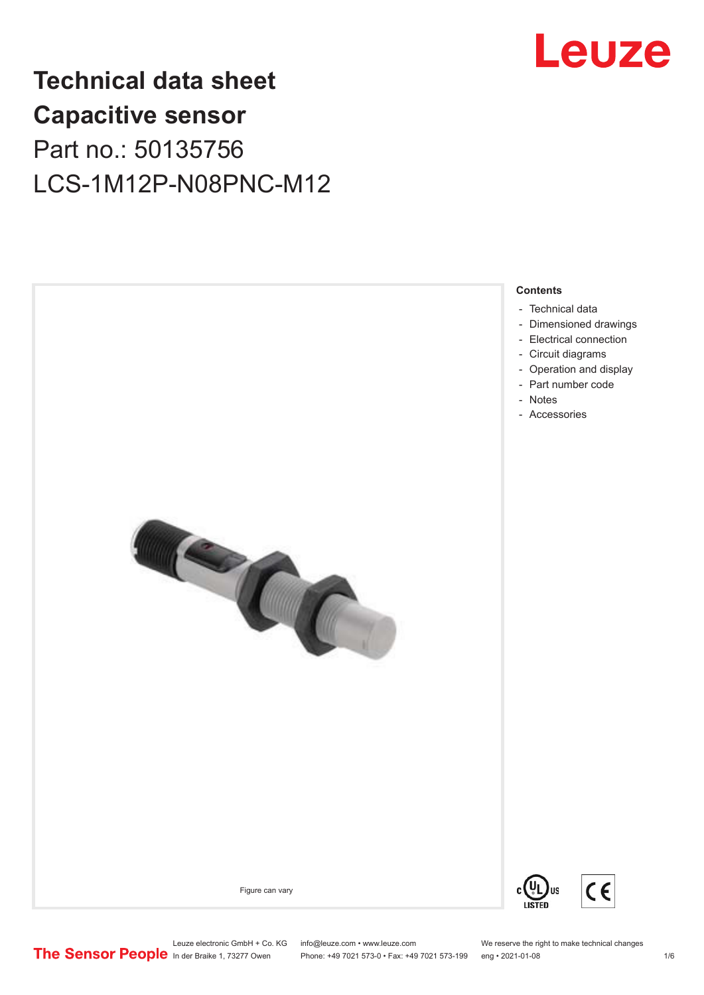

## **Technical data sheet Capacitive sensor** Part no.: 50135756 LCS-1M12P-N08PNC-M12

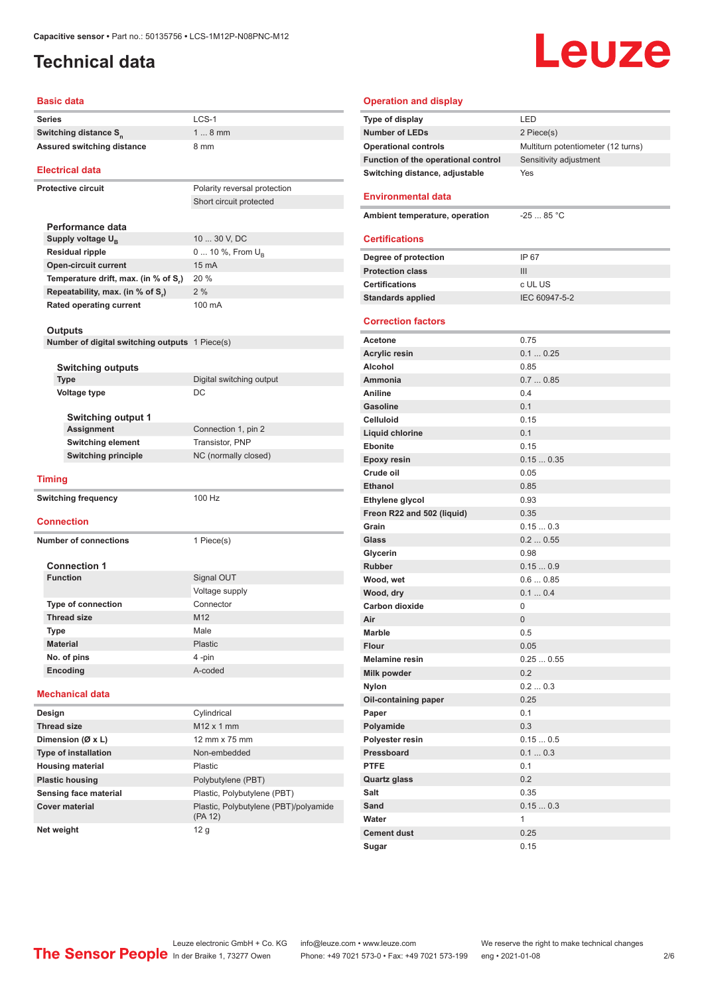#### <span id="page-1-0"></span>**Technical data**

# Leuze

#### **Basic data**

| Series                                         | $LCS-1$                               |
|------------------------------------------------|---------------------------------------|
| Switching distance S <sub>n</sub>              | $18$ mm                               |
| <b>Assured switching distance</b>              | 8 mm                                  |
|                                                |                                       |
| <b>Electrical data</b>                         |                                       |
| <b>Protective circuit</b>                      | Polarity reversal protection          |
|                                                | Short circuit protected               |
|                                                |                                       |
| Performance data                               |                                       |
| Supply voltage U <sub>B</sub>                  | 10  30 V, DC                          |
| <b>Residual ripple</b>                         | 0  10 %, From U <sub>B</sub>          |
| <b>Open-circuit current</b>                    | 15 mA                                 |
| Temperature drift, max. (in % of S,)           | 20 %                                  |
| Repeatability, max. (in % of S <sub>r</sub> )  | 2%                                    |
| <b>Rated operating current</b>                 | 100 mA                                |
|                                                |                                       |
| <b>Outputs</b>                                 |                                       |
| Number of digital switching outputs 1 Piece(s) |                                       |
|                                                |                                       |
| <b>Switching outputs</b>                       |                                       |
| <b>Type</b>                                    | Digital switching output              |
| <b>Voltage type</b>                            | DC                                    |
|                                                |                                       |
| <b>Switching output 1</b>                      |                                       |
| Assignment                                     | Connection 1, pin 2                   |
| Switching element                              | Transistor, PNP                       |
| <b>Switching principle</b>                     | NC (normally closed)                  |
|                                                |                                       |
| <b>Timing</b>                                  |                                       |
| <b>Switching frequency</b>                     | 100 Hz                                |
|                                                |                                       |
| <b>Connection</b>                              |                                       |
| <b>Number of connections</b>                   | 1 Piece(s)                            |
|                                                |                                       |
| <b>Connection 1</b>                            |                                       |
| <b>Function</b>                                | Signal OUT                            |
|                                                | Voltage supply                        |
| <b>Type of connection</b>                      | Connector                             |
| <b>Thread size</b>                             | M12                                   |
| Type                                           | Male                                  |
| <b>Material</b>                                | Plastic                               |
| No. of pins                                    | 4-pin                                 |
| Encoding                                       | A-coded                               |
|                                                |                                       |
| <b>Mechanical data</b>                         |                                       |
| Design                                         | Cylindrical                           |
| <b>Thread size</b>                             | M12 x 1 mm                            |
| Dimension (Ø x L)                              | 12 mm x 75 mm                         |
| Type of installation                           | Non-embedded                          |
| <b>Housing material</b>                        | <b>Plastic</b>                        |
| <b>Plastic housing</b>                         | Polybutylene (PBT)                    |
| Sensing face material                          | Plastic, Polybutylene (PBT)           |
| <b>Cover material</b>                          | Plastic, Polybutylene (PBT)/polyamide |
|                                                |                                       |

| <b>Operation and display</b>        |                                    |
|-------------------------------------|------------------------------------|
| Type of display                     | LED                                |
| <b>Number of LEDs</b>               | 2 Piece(s)                         |
| <b>Operational controls</b>         | Multiturn potentiometer (12 turns) |
| Function of the operational control | Sensitivity adjustment             |
| Switching distance, adjustable      | Yes                                |
|                                     |                                    |
| <b>Environmental data</b>           |                                    |
| Ambient temperature, operation      | $-2585 °C$                         |
|                                     |                                    |
| <b>Certifications</b>               |                                    |
| Degree of protection                | IP 67                              |
| <b>Protection class</b>             | III                                |
| <b>Certifications</b>               | c UL US                            |
| <b>Standards applied</b>            | IEC 60947-5-2                      |
|                                     |                                    |
| <b>Correction factors</b>           |                                    |
| Acetone                             | 0.75                               |
| <b>Acrylic resin</b>                | 0.10.25                            |
| Alcohol                             | 0.85                               |
| Ammonia                             | 0.70.85                            |
| <b>Aniline</b>                      | 0.4                                |
| <b>Gasoline</b>                     | 0.1                                |
| <b>Celluloid</b>                    | 0.15                               |
| Liquid chlorine                     | 0.1                                |
| <b>Ebonite</b>                      | 0.15                               |
| <b>Epoxy resin</b>                  | 0.150.35                           |
| Crude oil                           | 0.05                               |
| <b>Ethanol</b>                      | 0.85                               |
| Ethylene glycol                     | 0.93                               |
| Freon R22 and 502 (liquid)          | 0.35                               |
| Grain                               | 0.150.3                            |
| Glass                               | 0.20.55                            |
| Glycerin                            | 0.98                               |
| Rubber                              | 0.150.9                            |
| Wood, wet                           | 0.60.85                            |
| Wood, dry                           | 0.10.4                             |
| <b>Carbon dioxide</b>               | 0                                  |
| Air                                 | 0                                  |
| Marble                              | 0.5                                |
| <b>Flour</b>                        | 0.05                               |
| <b>Melamine resin</b>               | 0.250.55                           |
| Milk powder                         | 0.2                                |
| <b>Nylon</b>                        | 0.20.3                             |
| Oil-containing paper                | 0.25                               |
| Paper                               | 0.1<br>0.3                         |
| Polyamide<br>Polyester resin        | 0.150.5                            |
| Pressboard                          | 0.10.3                             |
| <b>PTFE</b>                         | 0.1                                |
| <b>Quartz glass</b>                 | 0.2                                |
| Salt                                | 0.35                               |
| Sand                                | 0.150.3                            |
| Water                               | 1                                  |
| <b>Cement dust</b>                  | 0.25                               |
| Sugar                               | 0.15                               |

**Net weight** 12 g

(PA 12)

Leuze electronic GmbH + Co. KG info@leuze.com • www.leuze.com We reserve the right to make technical changes ln der Braike 1, 73277 Owen Phone: +49 7021 573-0 • Fax: +49 7021 573-199 eng • 2021-01-08 2/6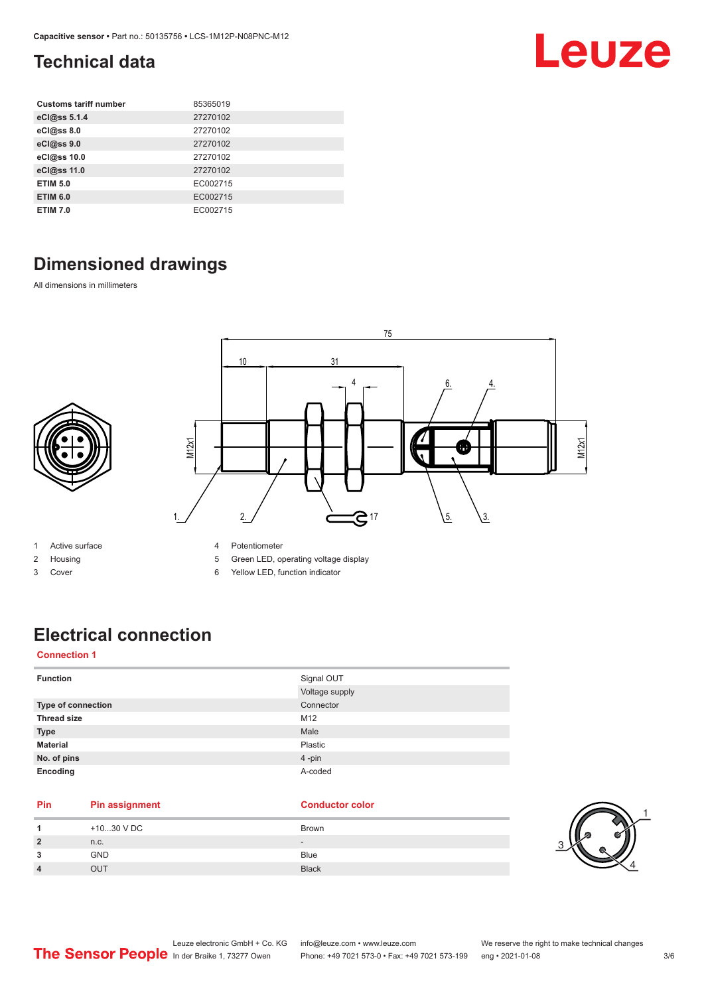### <span id="page-2-0"></span>**Technical data**

| <b>Customs tariff number</b> | 85365019 |
|------------------------------|----------|
| eCl@ss 5.1.4                 | 27270102 |
| eCl@ss 8.0                   | 27270102 |
| eCl@ss 9.0                   | 27270102 |
| eCl@ss 10.0                  | 27270102 |
| eCl@ss 11.0                  | 27270102 |
| <b>ETIM 5.0</b>              | EC002715 |
| <b>ETIM 6.0</b>              | EC002715 |
| <b>ETIM 7.0</b>              | EC002715 |

### **Dimensioned drawings**

All dimensions in millimeters



- 1 Active surface
- 2 Housing
- 3 Cover
- 4 Potentiometer
- 5 Green LED, operating voltage display
- 6 Yellow LED, function indicator

### **Electrical connection**

#### **Connection 1**

| <b>Function</b>    | Signal OUT     |
|--------------------|----------------|
|                    | Voltage supply |
| Type of connection | Connector      |
| <b>Thread size</b> | M12            |
| <b>Type</b>        | Male           |
| <b>Material</b>    | Plastic        |
| No. of pins        | 4-pin          |
| Encoding           | A-coded        |

#### **Pin Pin assignment Conductor Conductor Color**

|            | +1030 V DC | <b>Brown</b>                 |
|------------|------------|------------------------------|
|            | n.c.       | $\qquad \qquad \blacksquare$ |
|            | <b>GND</b> | <b>Blue</b>                  |
| $\sqrt{ }$ | <b>OUT</b> | <b>Black</b>                 |



Leuze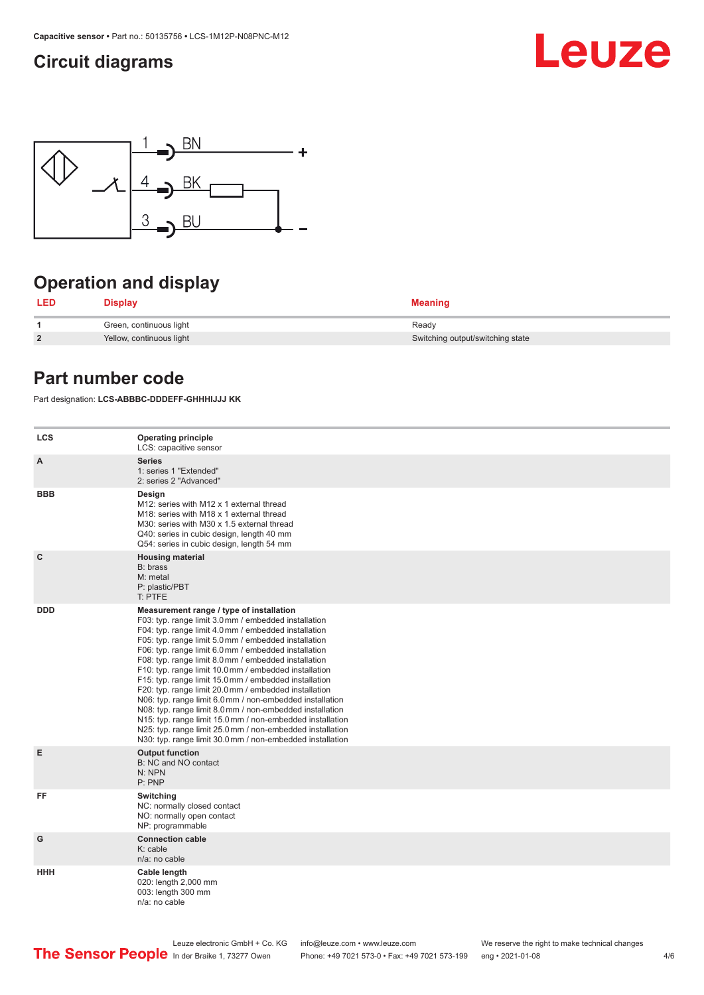#### <span id="page-3-0"></span>**Circuit diagrams**





### **Operation and display**

| LED            | <b>Display</b>           | <b>Meaning</b>                   |
|----------------|--------------------------|----------------------------------|
|                | Green, continuous light  | Ready                            |
| $\overline{2}$ | Yellow, continuous light | Switching output/switching state |

#### **Part number code**

Part designation: **LCS-ABBBC-DDDEFF-GHHHIJJJ KK**

| <b>LCS</b>   | <b>Operating principle</b><br>LCS: capacitive sensor                                                                                                                                                                                                                                                                                                                                                                                                                                                                                                                                                                                                                                                                                                                                                                       |
|--------------|----------------------------------------------------------------------------------------------------------------------------------------------------------------------------------------------------------------------------------------------------------------------------------------------------------------------------------------------------------------------------------------------------------------------------------------------------------------------------------------------------------------------------------------------------------------------------------------------------------------------------------------------------------------------------------------------------------------------------------------------------------------------------------------------------------------------------|
| A            | <b>Series</b><br>1: series 1 "Extended"<br>2: series 2 "Advanced"                                                                                                                                                                                                                                                                                                                                                                                                                                                                                                                                                                                                                                                                                                                                                          |
| <b>BBB</b>   | Design<br>M12: series with M12 x 1 external thread<br>M18: series with M18 x 1 external thread<br>M30: series with M30 x 1.5 external thread<br>Q40: series in cubic design, length 40 mm<br>Q54: series in cubic design, length 54 mm                                                                                                                                                                                                                                                                                                                                                                                                                                                                                                                                                                                     |
| $\mathbf{C}$ | <b>Housing material</b><br>B: brass<br>M: metal<br>P: plastic/PBT<br>T: PTFE                                                                                                                                                                                                                                                                                                                                                                                                                                                                                                                                                                                                                                                                                                                                               |
| <b>DDD</b>   | Measurement range / type of installation<br>F03: typ. range limit 3.0 mm / embedded installation<br>F04: typ. range limit 4.0 mm / embedded installation<br>F05: typ. range limit 5.0 mm / embedded installation<br>F06: typ. range limit 6.0 mm / embedded installation<br>F08: typ. range limit 8.0 mm / embedded installation<br>F10: typ. range limit 10.0 mm / embedded installation<br>F15: typ. range limit 15.0 mm / embedded installation<br>F20: typ. range limit 20.0 mm / embedded installation<br>N06: typ. range limit 6.0 mm / non-embedded installation<br>N08: typ. range limit 8.0 mm / non-embedded installation<br>N15: typ. range limit 15.0 mm / non-embedded installation<br>N25: typ. range limit 25.0 mm / non-embedded installation<br>N30: typ. range limit 30.0 mm / non-embedded installation |
| Е            | <b>Output function</b><br>B: NC and NO contact<br>N: NPN<br>P: PNP                                                                                                                                                                                                                                                                                                                                                                                                                                                                                                                                                                                                                                                                                                                                                         |
| FF           | Switching<br>NC: normally closed contact<br>NO: normally open contact<br>NP: programmable                                                                                                                                                                                                                                                                                                                                                                                                                                                                                                                                                                                                                                                                                                                                  |
| G            | <b>Connection cable</b><br>$K:$ cable<br>$n/a$ : no cable                                                                                                                                                                                                                                                                                                                                                                                                                                                                                                                                                                                                                                                                                                                                                                  |
| <b>HHH</b>   | Cable length<br>020: length 2,000 mm<br>003: length 300 mm<br>n/a: no cable                                                                                                                                                                                                                                                                                                                                                                                                                                                                                                                                                                                                                                                                                                                                                |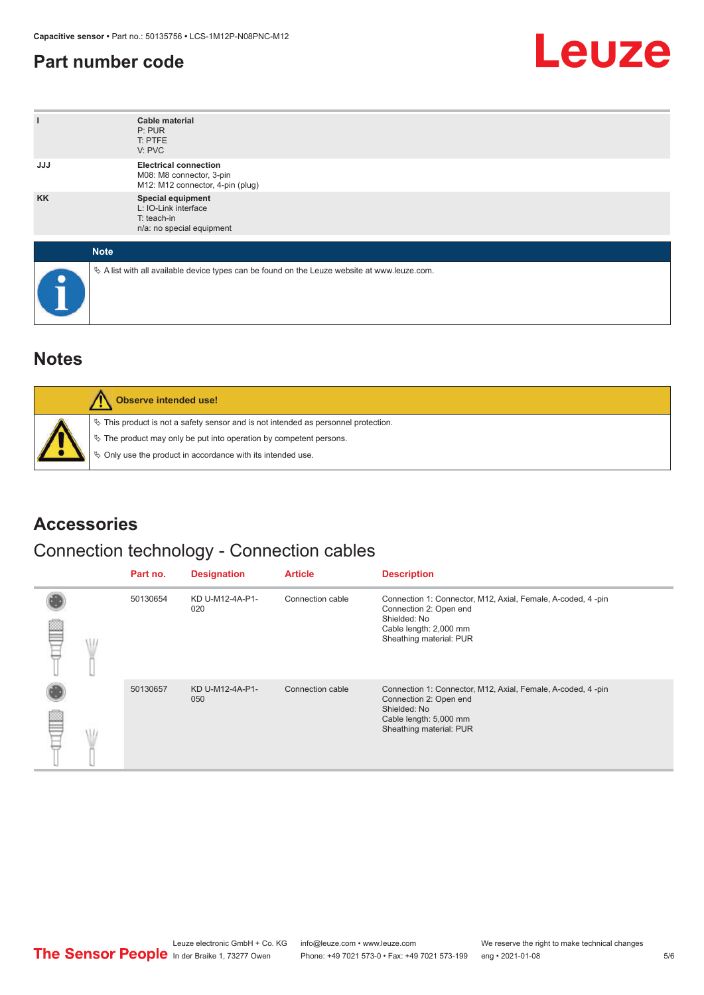#### <span id="page-4-0"></span>**Part number code**



| ı          | <b>Cable material</b><br>P: PUR<br>T: PTFE<br>V: PVC                                            |
|------------|-------------------------------------------------------------------------------------------------|
| <b>JJJ</b> | <b>Electrical connection</b><br>M08: M8 connector, 3-pin<br>M12: M12 connector, 4-pin (plug)    |
| <b>KK</b>  | Special equipment<br>L: IO-Link interface<br>T: teach-in<br>n/a: no special equipment           |
|            | <b>Note</b>                                                                                     |
| œ          | $\&$ A list with all available device types can be found on the Leuze website at www.leuze.com. |

#### **Notes**

| Observe intended use!                                                                                                                                                                                                      |
|----------------------------------------------------------------------------------------------------------------------------------------------------------------------------------------------------------------------------|
| $\%$ This product is not a safety sensor and is not intended as personnel protection.<br>§ The product may only be put into operation by competent persons.<br>♦ Only use the product in accordance with its intended use. |

#### **Accessories**

#### Connection technology - Connection cables

|  | Part no. | <b>Designation</b>     | <b>Article</b>   | <b>Description</b>                                                                                                                                         |
|--|----------|------------------------|------------------|------------------------------------------------------------------------------------------------------------------------------------------------------------|
|  | 50130654 | KD U-M12-4A-P1-<br>020 | Connection cable | Connection 1: Connector, M12, Axial, Female, A-coded, 4-pin<br>Connection 2: Open end<br>Shielded: No<br>Cable length: 2,000 mm<br>Sheathing material: PUR |
|  | 50130657 | KD U-M12-4A-P1-<br>050 | Connection cable | Connection 1: Connector, M12, Axial, Female, A-coded, 4-pin<br>Connection 2: Open end<br>Shielded: No<br>Cable length: 5,000 mm<br>Sheathing material: PUR |